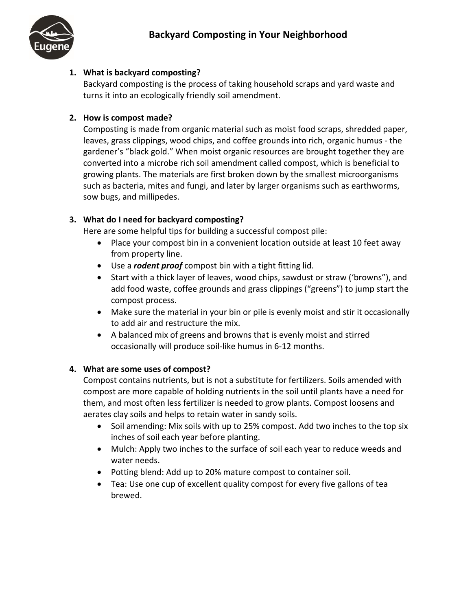

# **1. What is backyard composting?**

Backyard composting is the process of taking household scraps and yard waste and turns it into an ecologically friendly soil amendment.

# **2. How is compost made?**

Composting is made from organic material such as moist food scraps, shredded paper, leaves, grass clippings, wood chips, and coffee grounds into rich, organic humus - the gardener's "black gold." When moist organic resources are brought together they are converted into a microbe rich soil amendment called compost, which is beneficial to growing plants. The materials are first broken down by the smallest microorganisms such as bacteria, mites and fungi, and later by larger organisms such as earthworms, sow bugs, and millipedes.

# **3. What do I need for backyard composting?**

Here are some helpful tips for building a successful compost pile:

- Place your compost bin in a convenient location outside at least 10 feet away from property line.
- Use a *rodent proof* compost bin with a tight fitting lid.
- Start with a thick layer of leaves, wood chips, sawdust or straw ('browns"), and add food waste, coffee grounds and grass clippings ("greens") to jump start the compost process.
- Make sure the material in your bin or pile is evenly moist and stir it occasionally to add air and restructure the mix.
- A balanced mix of greens and browns that is evenly moist and stirred occasionally will produce soil-like humus in 6-12 months.

# **4. What are some uses of compost?**

Compost contains nutrients, but is not a substitute for fertilizers. Soils amended with compost are more capable of holding nutrients in the soil until plants have a need for them, and most often less fertilizer is needed to grow plants. Compost loosens and aerates clay soils and helps to retain water in sandy soils.

- Soil amending: Mix soils with up to 25% compost. Add two inches to the top six inches of soil each year before planting.
- Mulch: Apply two inches to the surface of soil each year to reduce weeds and water needs.
- Potting blend: Add up to 20% mature compost to container soil.
- Tea: Use one cup of excellent quality compost for every five gallons of tea brewed.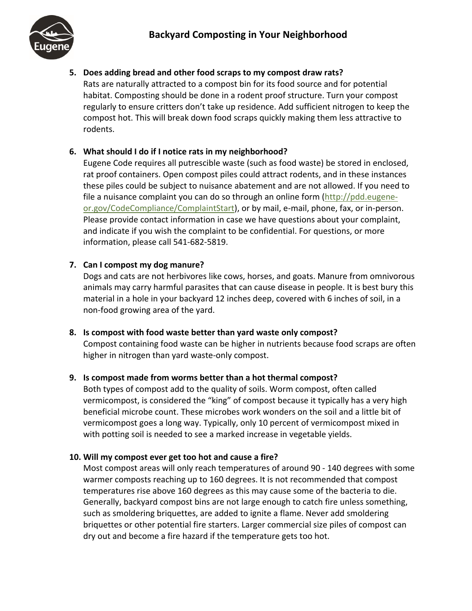

**5. Does adding bread and other food scraps to my compost draw rats?** Rats are naturally attracted to a compost bin for its food source and for potential habitat. Composting should be done in a rodent proof structure. Turn your compost regularly to ensure critters don't take up residence. Add sufficient nitrogen to keep the compost hot. This will break down food scraps quickly making them less attractive to rodents.

# **6. What should I do if I notice rats in my neighborhood?**

Eugene Code requires all putrescible waste (such as food waste) be stored in enclosed, rat proof containers. Open compost piles could attract rodents, and in these instances these piles could be subject to nuisance abatement and are not allowed. If you need to file a nuisance complaint you can do so through an online form [\(http://pdd.eugene](http://pdd.eugene-or.gov/CodeCompliance/ComplaintStart)[or.gov/CodeCompliance/ComplaintStart\)](http://pdd.eugene-or.gov/CodeCompliance/ComplaintStart), or by mail, e-mail, phone, fax, or in-person. Please provide contact information in case we have questions about your complaint, and indicate if you wish the complaint to be confidential. For questions, or more information, please call 541-682-5819.

# **7. Can I compost my dog manure?**

Dogs and cats are not herbivores like cows, horses, and goats. Manure from omnivorous animals may carry harmful parasites that can cause disease in people. It is best bury this material in a hole in your backyard 12 inches deep, covered with 6 inches of soil, in a non-food growing area of the yard.

**8. Is compost with food waste better than yard waste only compost?** Compost containing food waste can be higher in nutrients because food scraps are often higher in nitrogen than yard waste-only compost.

# **9. Is compost made from worms better than a hot thermal compost?**

Both types of compost add to the quality of soils. Worm compost, often called vermicompost, is considered the "king" of compost because it typically has a very high beneficial microbe count. These microbes work wonders on the soil and a little bit of vermicompost goes a long way. Typically, only 10 percent of vermicompost mixed in with potting soil is needed to see a marked increase in vegetable yields.

# **10. Will my compost ever get too hot and cause a fire?**

Most compost areas will only reach temperatures of around 90 - 140 degrees with some warmer composts reaching up to 160 degrees. It is not recommended that compost temperatures rise above 160 degrees as this may cause some of the bacteria to die. Generally, backyard compost bins are not large enough to catch fire unless something, such as smoldering briquettes, are added to ignite a flame. Never add smoldering briquettes or other potential fire starters. Larger commercial size piles of compost can dry out and become a fire hazard if the temperature gets too hot.